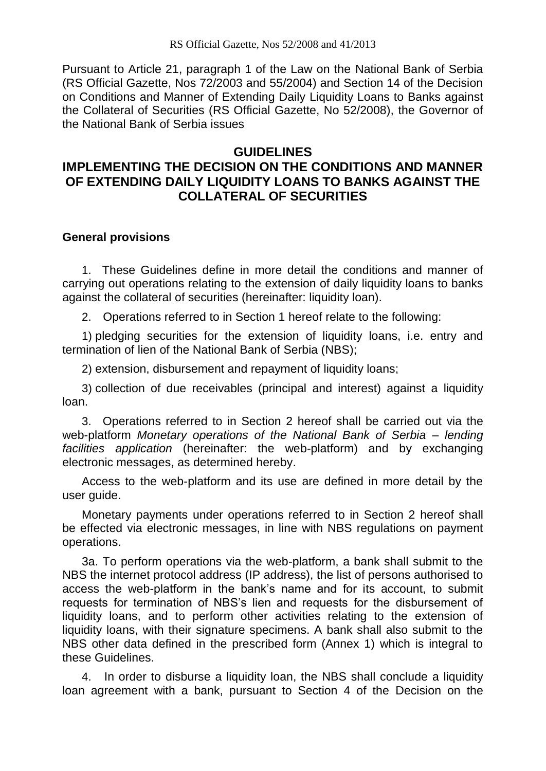Pursuant to Article 21, paragraph 1 of the Law on the National Bank of Serbia (RS Official Gazette, Nos 72/2003 and 55/2004) and Section 14 of the Decision on Conditions and Manner of Extending Daily Liquidity Loans to Banks against the Collateral of Securities (RS Official Gazette, No 52/2008), the Governor of the National Bank of Serbia issues

## **GUIDELINES**

# **IMPLEMENTING THE DECISION ON THE CONDITIONS AND MANNER OF EXTENDING DAILY LIQUIDITY LOANS TO BANKS AGAINST THE COLLATERAL OF SECURITIES**

### **General provisions**

1. These Guidelines define in more detail the conditions and manner of carrying out operations relating to the extension of daily liquidity loans to banks against the collateral of securities (hereinafter: liquidity loan).

2. Operations referred to in Section 1 hereof relate to the following:

1) pledging securities for the extension of liquidity loans, i.e. entry and termination of lien of the National Bank of Serbia (NBS);

2) extension, disbursement and repayment of liquidity loans;

3) collection of due receivables (principal and interest) against a liquidity loan.

3. Operations referred to in Section 2 hereof shall be carried out via the web-platform *Monetary operations of the National Bank of Serbia – lending facilities application* (hereinafter: the web-platform) and by exchanging electronic messages, as determined hereby.

Access to the web-platform and its use are defined in more detail by the user guide.

Monetary payments under operations referred to in Section 2 hereof shall be effected via electronic messages, in line with NBS regulations on payment operations.

3a. To perform operations via the web-platform, a bank shall submit to the NBS the internet protocol address (IP address), the list of persons authorised to access the web-platform in the bank's name and for its account, to submit requests for termination of NBS's lien and requests for the disbursement of liquidity loans, and to perform other activities relating to the extension of liquidity loans, with their signature specimens. A bank shall also submit to the NBS other data defined in the prescribed form (Annex 1) which is integral to these Guidelines.

4. In order to disburse a liquidity loan, the NBS shall conclude a liquidity loan agreement with a bank, pursuant to Section 4 of the Decision on the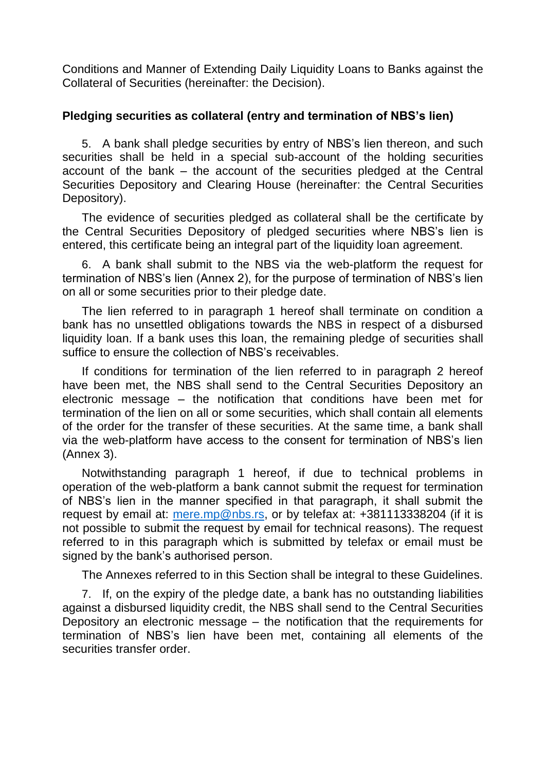Conditions and Manner of Extending Daily Liquidity Loans to Banks against the Collateral of Securities (hereinafter: the Decision).

## **Pledging securities as collateral (entry and termination of NBS's lien)**

5. A bank shall pledge securities by entry of NBS's lien thereon, and such securities shall be held in a special sub-account of the holding securities account of the bank – the account of the securities pledged at the Central Securities Depository and Clearing House (hereinafter: the Central Securities Depository).

The evidence of securities pledged as collateral shall be the certificate by the Central Securities Depository of pledged securities where NBS's lien is entered, this certificate being an integral part of the liquidity loan agreement.

6. A bank shall submit to the NBS via the web-platform the request for termination of NBS's lien (Annex 2), for the purpose of termination of NBS's lien on all or some securities prior to their pledge date.

The lien referred to in paragraph 1 hereof shall terminate on condition a bank has no unsettled obligations towards the NBS in respect of a disbursed liquidity loan. If a bank uses this loan, the remaining pledge of securities shall suffice to ensure the collection of NBS's receivables.

If conditions for termination of the lien referred to in paragraph 2 hereof have been met, the NBS shall send to the Central Securities Depository an electronic message – the notification that conditions have been met for termination of the lien on all or some securities, which shall contain all elements of the order for the transfer of these securities. At the same time, a bank shall via the web-platform have access to the consent for termination of NBS's lien (Annex 3).

Notwithstanding paragraph 1 hereof, if due to technical problems in operation of the web-platform a bank cannot submit the request for termination of NBS's lien in the manner specified in that paragraph, it shall submit the request by email at: [mere.mp@nbs.rs,](mailto:mere.mp@nbs.rs) or by telefax at: +381113338204 (if it is not possible to submit the request by email for technical reasons). The request referred to in this paragraph which is submitted by telefax or email must be signed by the bank's authorised person.

The Annexes referred to in this Section shall be integral to these Guidelines.

7. If, on the expiry of the pledge date, a bank has no outstanding liabilities against a disbursed liquidity credit, the NBS shall send to the Central Securities Depository an electronic message – the notification that the requirements for termination of NBS's lien have been met, containing all elements of the securities transfer order.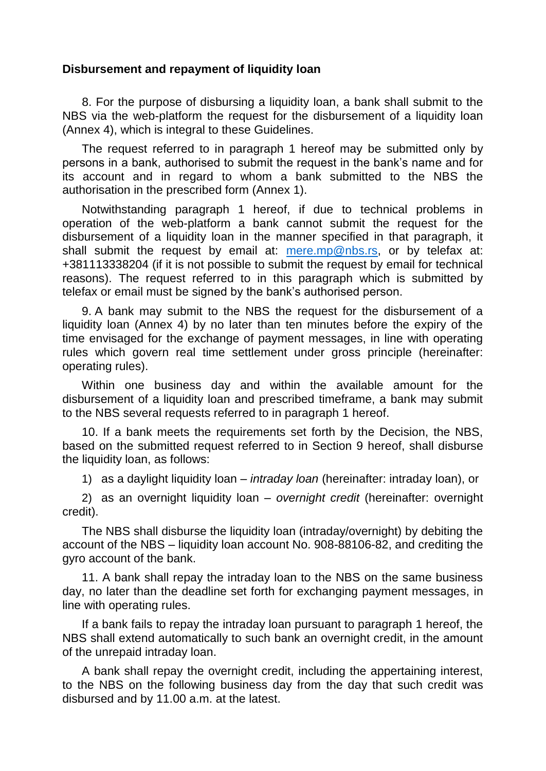### **Disbursement and repayment of liquidity loan**

8. For the purpose of disbursing a liquidity loan, a bank shall submit to the NBS via the web-platform the request for the disbursement of a liquidity loan (Annex 4), which is integral to these Guidelines.

The request referred to in paragraph 1 hereof may be submitted only by persons in a bank, authorised to submit the request in the bank's name and for its account and in regard to whom a bank submitted to the NBS the authorisation in the prescribed form (Annex 1).

Notwithstanding paragraph 1 hereof, if due to technical problems in operation of the web-platform a bank cannot submit the request for the disbursement of a liquidity loan in the manner specified in that paragraph, it shall submit the request by email at: [mere.mp@nbs.rs,](mailto:mere.mp@nbs.rs) or by telefax at: +381113338204 (if it is not possible to submit the request by email for technical reasons). The request referred to in this paragraph which is submitted by telefax or email must be signed by the bank's authorised person.

9. A bank may submit to the NBS the request for the disbursement of a liquidity loan (Annex 4) by no later than ten minutes before the expiry of the time envisaged for the exchange of payment messages, in line with operating rules which govern real time settlement under gross principle (hereinafter: operating rules).

Within one business day and within the available amount for the disbursement of a liquidity loan and prescribed timeframe, a bank may submit to the NBS several requests referred to in paragraph 1 hereof.

10. If a bank meets the requirements set forth by the Decision, the NBS, based on the submitted request referred to in Section 9 hereof, shall disburse the liquidity loan, as follows:

1) as a daylight liquidity loan – *intraday loan* (hereinafter: intraday loan), or

2) as an overnight liquidity loan – *overnight credit* (hereinafter: overnight credit).

The NBS shall disburse the liquidity loan (intraday/overnight) by debiting the account of the NBS – liquidity loan account No. 908-88106-82, and crediting the gyro account of the bank.

11. A bank shall repay the intraday loan to the NBS on the same business day, no later than the deadline set forth for exchanging payment messages, in line with operating rules.

If a bank fails to repay the intraday loan pursuant to paragraph 1 hereof, the NBS shall extend automatically to such bank an overnight credit, in the amount of the unrepaid intraday loan.

A bank shall repay the overnight credit, including the appertaining interest, to the NBS on the following business day from the day that such credit was disbursed and by 11.00 a.m. at the latest.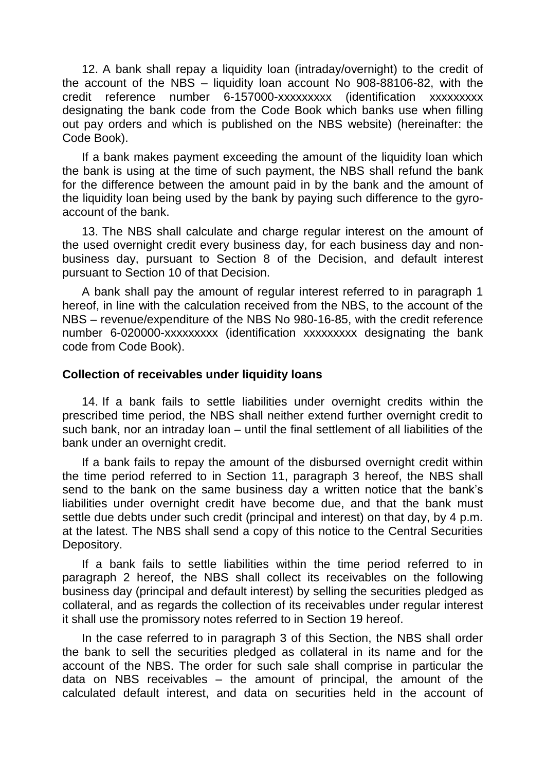12. A bank shall repay a liquidity loan (intraday/overnight) to the credit of the account of the NBS – liquidity loan account No 908-88106-82, with the credit reference number 6-157000-xxxxxxxxx (identification xxxxxxxxx designating the bank code from the Code Book which banks use when filling out pay orders and which is published on the NBS website) (hereinafter: the Code Book).

If a bank makes payment exceeding the amount of the liquidity loan which the bank is using at the time of such payment, the NBS shall refund the bank for the difference between the amount paid in by the bank and the amount of the liquidity loan being used by the bank by paying such difference to the gyroaccount of the bank.

13. The NBS shall calculate and charge regular interest on the amount of the used overnight credit every business day, for each business day and nonbusiness day, pursuant to Section 8 of the Decision, and default interest pursuant to Section 10 of that Decision.

A bank shall pay the amount of regular interest referred to in paragraph 1 hereof, in line with the calculation received from the NBS, to the account of the NBS – revenue/expenditure of the NBS No 980-16-85, with the credit reference number 6-020000-xxxxxxxxx (identification xxxxxxxxx designating the bank code from Code Book).

### **Collection of receivables under liquidity loans**

14. If a bank fails to settle liabilities under overnight credits within the prescribed time period, the NBS shall neither extend further overnight credit to such bank, nor an intraday loan – until the final settlement of all liabilities of the bank under an overnight credit.

If a bank fails to repay the amount of the disbursed overnight credit within the time period referred to in Section 11, paragraph 3 hereof, the NBS shall send to the bank on the same business day a written notice that the bank's liabilities under overnight credit have become due, and that the bank must settle due debts under such credit (principal and interest) on that day, by 4 p.m. at the latest. The NBS shall send a copy of this notice to the Central Securities Depository.

If a bank fails to settle liabilities within the time period referred to in paragraph 2 hereof, the NBS shall collect its receivables on the following business day (principal and default interest) by selling the securities pledged as collateral, and as regards the collection of its receivables under regular interest it shall use the promissory notes referred to in Section 19 hereof.

In the case referred to in paragraph 3 of this Section, the NBS shall order the bank to sell the securities pledged as collateral in its name and for the account of the NBS. The order for such sale shall comprise in particular the data on NBS receivables – the amount of principal, the amount of the calculated default interest, and data on securities held in the account of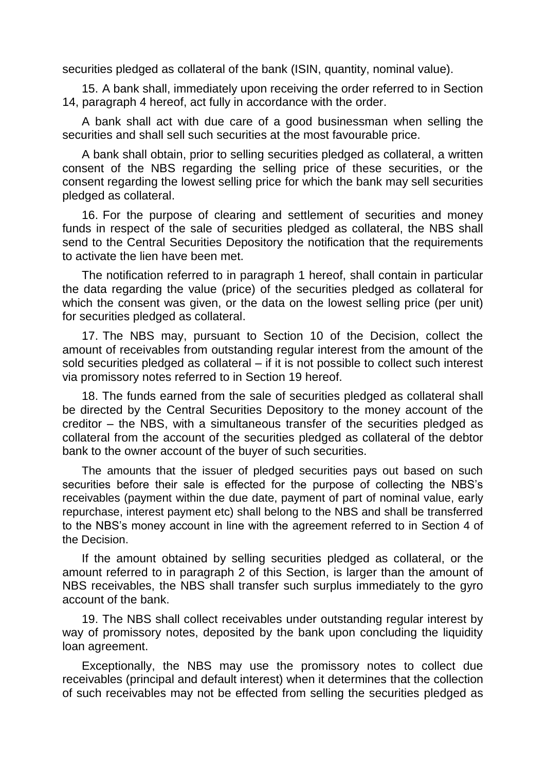securities pledged as collateral of the bank (ISIN, quantity, nominal value).

15. A bank shall, immediately upon receiving the order referred to in Section 14, paragraph 4 hereof, act fully in accordance with the order.

A bank shall act with due care of a good businessman when selling the securities and shall sell such securities at the most favourable price.

A bank shall obtain, prior to selling securities pledged as collateral, a written consent of the NBS regarding the selling price of these securities, or the consent regarding the lowest selling price for which the bank may sell securities pledged as collateral.

16. For the purpose of clearing and settlement of securities and money funds in respect of the sale of securities pledged as collateral, the NBS shall send to the Central Securities Depository the notification that the requirements to activate the lien have been met.

The notification referred to in paragraph 1 hereof, shall contain in particular the data regarding the value (price) of the securities pledged as collateral for which the consent was given, or the data on the lowest selling price (per unit) for securities pledged as collateral.

17. The NBS may, pursuant to Section 10 of the Decision, collect the amount of receivables from outstanding regular interest from the amount of the sold securities pledged as collateral – if it is not possible to collect such interest via promissory notes referred to in Section 19 hereof.

18. The funds earned from the sale of securities pledged as collateral shall be directed by the Central Securities Depository to the money account of the creditor – the NBS, with a simultaneous transfer of the securities pledged as collateral from the account of the securities pledged as collateral of the debtor bank to the owner account of the buyer of such securities.

The amounts that the issuer of pledged securities pays out based on such securities before their sale is effected for the purpose of collecting the NBS's receivables (payment within the due date, payment of part of nominal value, early repurchase, interest payment etc) shall belong to the NBS and shall be transferred to the NBS's money account in line with the agreement referred to in Section 4 of the Decision.

If the amount obtained by selling securities pledged as collateral, or the amount referred to in paragraph 2 of this Section, is larger than the amount of NBS receivables, the NBS shall transfer such surplus immediately to the gyro account of the bank.

19. The NBS shall collect receivables under outstanding regular interest by way of promissory notes, deposited by the bank upon concluding the liquidity loan agreement.

Exceptionally, the NBS may use the promissory notes to collect due receivables (principal and default interest) when it determines that the collection of such receivables may not be effected from selling the securities pledged as